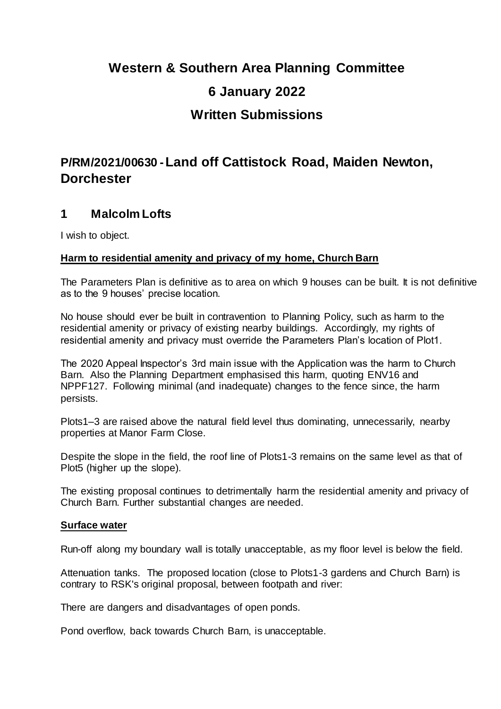# **Western & Southern Area Planning Committee 6 January 2022 Written Submissions**

# **P/RM/2021/00630 -Land off Cattistock Road, Maiden Newton, Dorchester**

### **1 Malcolm Lofts**

I wish to object.

#### **Harm to residential amenity and privacy of my home, Church Barn**

The Parameters Plan is definitive as to area on which 9 houses can be built. It is not definitive as to the 9 houses' precise location.

No house should ever be built in contravention to Planning Policy, such as harm to the residential amenity or privacy of existing nearby buildings. Accordingly, my rights of residential amenity and privacy must override the Parameters Plan's location of Plot1.

The 2020 Appeal Inspector's 3rd main issue with the Application was the harm to Church Barn. Also the Planning Department emphasised this harm, quoting ENV16 and NPPF127. Following minimal (and inadequate) changes to the fence since, the harm persists.

Plots1–3 are raised above the natural field level thus dominating, unnecessarily, nearby properties at Manor Farm Close.

Despite the slope in the field, the roof line of Plots1-3 remains on the same level as that of Plot5 (higher up the slope).

The existing proposal continues to detrimentally harm the residential amenity and privacy of Church Barn. Further substantial changes are needed.

#### **Surface water**

Run-off along my boundary wall is totally unacceptable, as my floor level is below the field.

Attenuation tanks. The proposed location (close to Plots1-3 gardens and Church Barn) is contrary to RSK's original proposal, between footpath and river:

There are dangers and disadvantages of open ponds.

Pond overflow, back towards Church Barn, is unacceptable.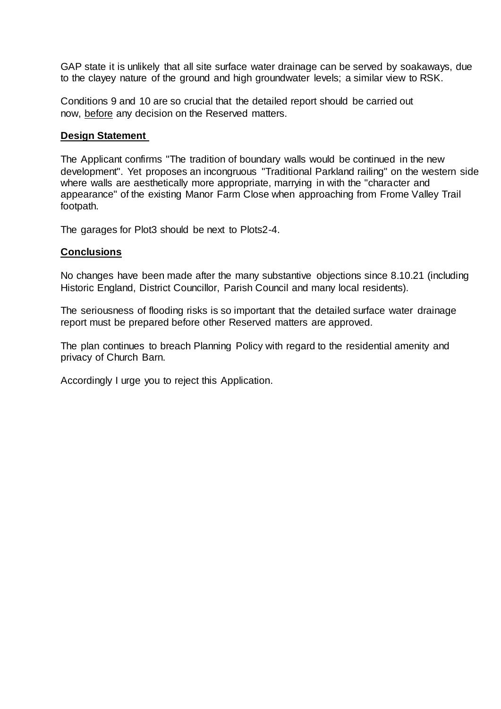GAP state it is unlikely that all site surface water drainage can be served by soakaways, due to the clayey nature of the ground and high groundwater levels; a similar view to RSK.

Conditions 9 and 10 are so crucial that the detailed report should be carried out now, before any decision on the Reserved matters.

#### **Design Statement**

The Applicant confirms "The tradition of boundary walls would be continued in the new development". Yet proposes an incongruous "Traditional Parkland railing" on the western side where walls are aesthetically more appropriate, marrying in with the "character and appearance" of the existing Manor Farm Close when approaching from Frome Valley Trail footpath.

The garages for Plot3 should be next to Plots2-4.

#### **Conclusions**

No changes have been made after the many substantive objections since 8.10.21 (including Historic England, District Councillor, Parish Council and many local residents).

The seriousness of flooding risks is so important that the detailed surface water drainage report must be prepared before other Reserved matters are approved.

The plan continues to breach Planning Policy with regard to the residential amenity and privacy of Church Barn.

Accordingly I urge you to reject this Application.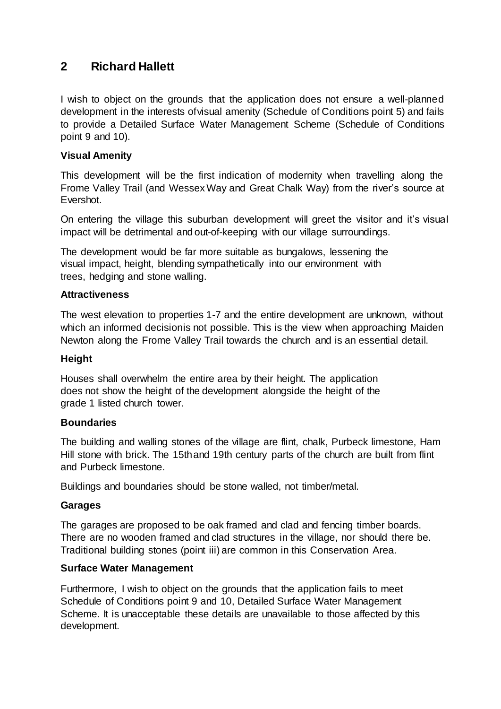### **2 Richard Hallett**

I wish to object on the grounds that the application does not ensure a well-planned development in the interests ofvisual amenity (Schedule of Conditions point 5) and fails to provide a Detailed Surface Water Management Scheme (Schedule of Conditions point 9 and 10).

#### **Visual Amenity**

This development will be the first indication of modernity when travelling along the Frome Valley Trail (and WessexWay and Great Chalk Way) from the river's source at Evershot.

On entering the village this suburban development will greet the visitor and it's visual impact will be detrimental and out-of-keeping with our village surroundings.

The development would be far more suitable as bungalows, lessening the visual impact, height, blending sympathetically into our environment with trees, hedging and stone walling.

#### **Attractiveness**

The west elevation to properties 1-7 and the entire development are unknown, without which an informed decisionis not possible. This is the view when approaching Maiden Newton along the Frome Valley Trail towards the church and is an essential detail.

#### **Height**

Houses shall overwhelm the entire area by their height. The application does not show the height of the development alongside the height of the grade 1 listed church tower.

#### **Boundaries**

The building and walling stones of the village are flint, chalk, Purbeck limestone, Ham Hill stone with brick. The 15thand 19th century parts of the church are built from flint and Purbeck limestone.

Buildings and boundaries should be stone walled, not timber/metal.

#### **Garages**

The garages are proposed to be oak framed and clad and fencing timber boards. There are no wooden framed and clad structures in the village, nor should there be. Traditional building stones (point iii) are common in this Conservation Area.

#### **Surface Water Management**

Furthermore, I wish to object on the grounds that the application fails to meet Schedule of Conditions point 9 and 10, Detailed Surface Water Management Scheme. It is unacceptable these details are unavailable to those affected by this development.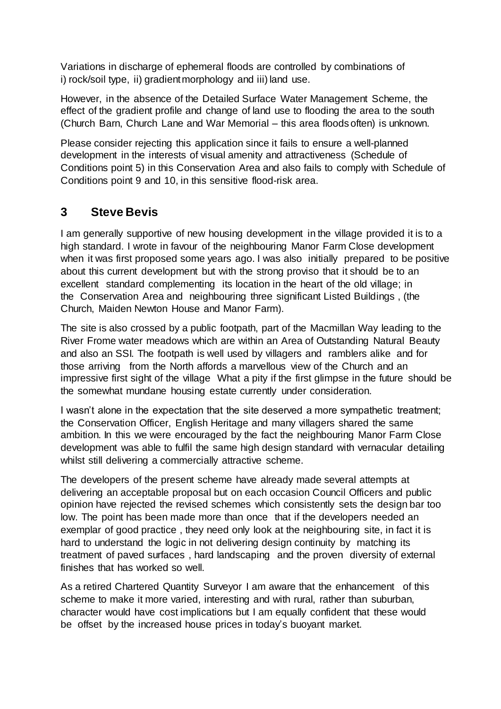Variations in discharge of ephemeral floods are controlled by combinations of i) rock/soil type, ii) gradient morphology and iii) land use.

However, in the absence of the Detailed Surface Water Management Scheme, the effect of the gradient profile and change of land use to flooding the area to the south (Church Barn, Church Lane and War Memorial – this area floods often) is unknown.

Please consider rejecting this application since it fails to ensure a well-planned development in the interests of visual amenity and attractiveness (Schedule of Conditions point 5) in this Conservation Area and also fails to comply with Schedule of Conditions point 9 and 10, in this sensitive flood-risk area.

## **3 Steve Bevis**

I am generally supportive of new housing development in the village provided it is to a high standard. I wrote in favour of the neighbouring Manor Farm Close development when it was first proposed some years ago. I was also initially prepared to be positive about this current development but with the strong proviso that it should be to an excellent standard complementing its location in the heart of the old village; in the Conservation Area and neighbouring three significant Listed Buildings , (the Church, Maiden Newton House and Manor Farm).

The site is also crossed by a public footpath, part of the Macmillan Way leading to the River Frome water meadows which are within an Area of Outstanding Natural Beauty and also an SSI. The footpath is well used by villagers and ramblers alike and for those arriving from the North affords a marvellous view of the Church and an impressive first sight of the village What a pity if the first glimpse in the future should be the somewhat mundane housing estate currently under consideration.

I wasn't alone in the expectation that the site deserved a more sympathetic treatment; the Conservation Officer, English Heritage and many villagers shared the same ambition. In this we were encouraged by the fact the neighbouring Manor Farm Close development was able to fulfil the same high design standard with vernacular detailing whilst still delivering a commercially attractive scheme.

The developers of the present scheme have already made several attempts at delivering an acceptable proposal but on each occasion Council Officers and public opinion have rejected the revised schemes which consistently sets the design bar too low. The point has been made more than once that if the developers needed an exemplar of good practice , they need only look at the neighbouring site, in fact it is hard to understand the logic in not delivering design continuity by matching its treatment of paved surfaces , hard landscaping and the proven diversity of external finishes that has worked so well.

As a retired Chartered Quantity Surveyor I am aware that the enhancement of this scheme to make it more varied, interesting and with rural, rather than suburban, character would have cost implications but I am equally confident that these would be offset by the increased house prices in today's buoyant market.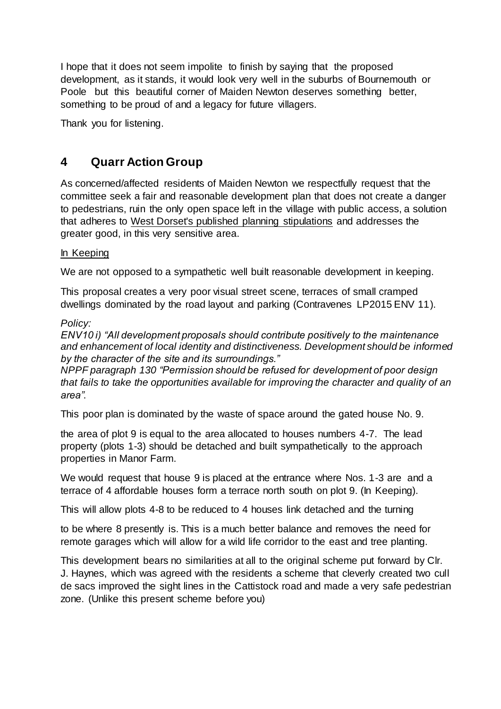I hope that it does not seem impolite to finish by saying that the proposed development, as it stands, it would look very well in the suburbs of Bournemouth or Poole but this beautiful corner of Maiden Newton deserves something better, something to be proud of and a legacy for future villagers.

Thank you for listening.

# **4 Quarr Action Group**

As concerned/affected residents of Maiden Newton we respectfully request that the committee seek a fair and reasonable development plan that does not create a danger to pedestrians, ruin the only open space left in the village with public access, a solution that adheres to West Dorset's published planning stipulations and addresses the greater good, in this very sensitive area.

#### In Keeping

We are not opposed to a sympathetic well built reasonable development in keeping.

This proposal creates a very poor visual street scene, terraces of small cramped dwellings dominated by the road layout and parking (Contravenes LP2015 ENV 11).

#### *Policy:*

*ENV10 i) "All development proposals should contribute positively to the maintenance and enhancement of local identity and distinctiveness. Development should be informed by the character of the site and its surroundings."* 

*NPPF paragraph 130 "Permission should be refused for development of poor design that fails to take the opportunities available for improving the character and quality of an area"*.

This poor plan is dominated by the waste of space around the gated house No. 9.

the area of plot 9 is equal to the area allocated to houses numbers 4-7. The lead property (plots 1-3) should be detached and built sympathetically to the approach properties in Manor Farm.

We would request that house 9 is placed at the entrance where Nos. 1-3 are and a terrace of 4 affordable houses form a terrace north south on plot 9. (In Keeping).

This will allow plots 4-8 to be reduced to 4 houses link detached and the turning

to be where 8 presently is. This is a much better balance and removes the need for remote garages which will allow for a wild life corridor to the east and tree planting.

This development bears no similarities at all to the original scheme put forward by Clr. J. Haynes, which was agreed with the residents a scheme that cleverly created two cull de sacs improved the sight lines in the Cattistock road and made a very safe pedestrian zone. (Unlike this present scheme before you)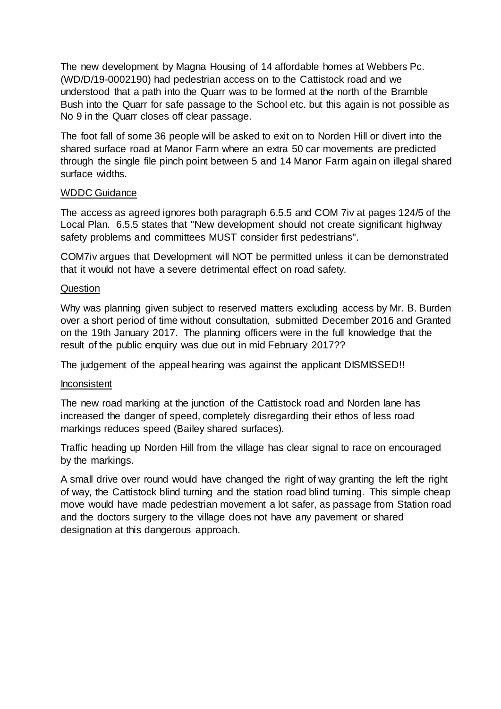The new development by Magna Housing of 14 affordable homes at Webbers Pc. (WD/D/19-0002190) had pedestrian access on to the Cattistock road and we understood that a path into the Quarr was to be formed at the north of the Bramble Bush into the Quarr for safe passage to the School etc. but this again is not possible as No 9 in the Quarr closes off clear passage.

The foot fall of some 36 people will be asked to exit on to Norden Hill or divert into the shared surface road at Manor Farm where an extra 50 car movements are predicted through the single file pinch point between 5 and 14 Manor Farm again on illegal shared surface widths.

#### WDDC Guidance

The access as agreed ignores both paragraph 6.5.5 and COM 7iv at pages 124/5 of the Local Plan. 6.5.5 states that "New development should not create significant highway safety problems and committees MUST consider first pedestrians".

COM7iv argues that Development will NOT be permitted unless it can be demonstrated that it would not have a severe detrimental effect on road safety.

#### Question

Why was planning given subject to reserved matters excluding access by Mr. B. Burden over a short period of time without consultation, submitted December 2016 and Granted on the 19th January 2017. The planning officers were in the full knowledge that the result of the public enquiry was due out in mid February 2017??

The judgement of the appeal hearing was against the applicant DISMISSED!!

#### Inconsistent

The new road marking at the junction of the Cattistock road and Norden lane has increased the danger of speed, completely disregarding their ethos of less road markings reduces speed (Bailey shared surfaces).

Traffic heading up Norden Hill from the village has clear signal to race on encouraged by the markings.

A small drive over round would have changed the right of way granting the left the right of way, the Cattistock blind turning and the station road blind turning. This simple cheap move would have made pedestrian movement a lot safer, as passage from Station road and the doctors surgery to the village does not have any pavement or shared designation at this dangerous approach.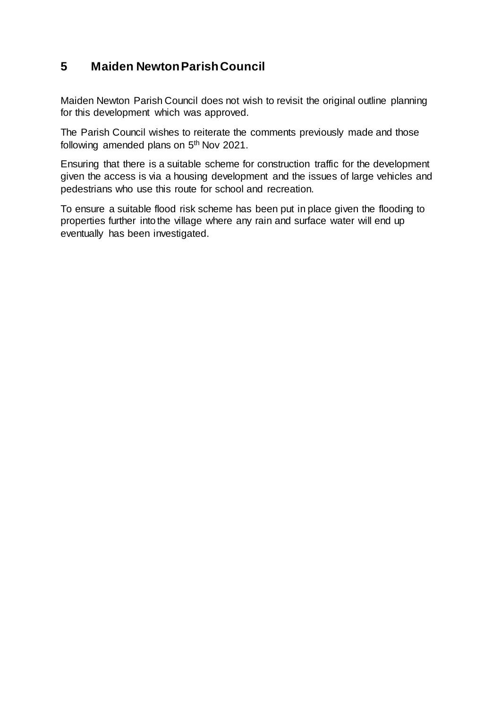# **5 Maiden Newton Parish Council**

Maiden Newton Parish Council does not wish to revisit the original outline planning for this development which was approved.

The Parish Council wishes to reiterate the comments previously made and those following amended plans on 5<sup>th</sup> Nov 2021.

Ensuring that there is a suitable scheme for construction traffic for the development given the access is via a housing development and the issues of large vehicles and pedestrians who use this route for school and recreation.

To ensure a suitable flood risk scheme has been put in place given the flooding to properties further into the village where any rain and surface water will end up eventually has been investigated.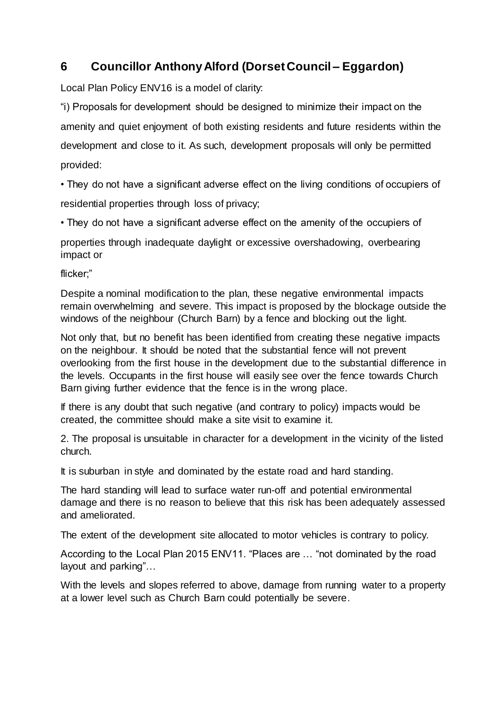# **6 Councillor Anthony Alford (Dorset Council – Eggardon)**

Local Plan Policy ENV16 is a model of clarity:

"i) Proposals for development should be designed to minimize their impact on the amenity and quiet enjoyment of both existing residents and future residents within the development and close to it. As such, development proposals will only be permitted provided:

• They do not have a significant adverse effect on the living conditions of occupiers of residential properties through loss of privacy;

• They do not have a significant adverse effect on the amenity of the occupiers of

properties through inadequate daylight or excessive overshadowing, overbearing impact or

flicker;"

Despite a nominal modification to the plan, these negative environmental impacts remain overwhelming and severe. This impact is proposed by the blockage outside the windows of the neighbour (Church Barn) by a fence and blocking out the light.

Not only that, but no benefit has been identified from creating these negative impacts on the neighbour. It should be noted that the substantial fence will not prevent overlooking from the first house in the development due to the substantial difference in the levels. Occupants in the first house will easily see over the fence towards Church Barn giving further evidence that the fence is in the wrong place.

If there is any doubt that such negative (and contrary to policy) impacts would be created, the committee should make a site visit to examine it.

2. The proposal is unsuitable in character for a development in the vicinity of the listed church.

It is suburban in style and dominated by the estate road and hard standing.

The hard standing will lead to surface water run-off and potential environmental damage and there is no reason to believe that this risk has been adequately assessed and ameliorated.

The extent of the development site allocated to motor vehicles is contrary to policy.

According to the Local Plan 2015 ENV11. "Places are … "not dominated by the road layout and parking"…

With the levels and slopes referred to above, damage from running water to a property at a lower level such as Church Barn could potentially be severe.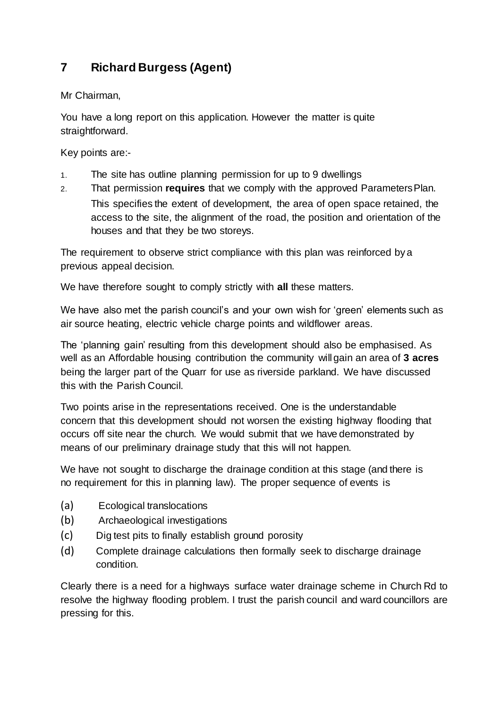# **7 Richard Burgess (Agent)**

Mr Chairman,

You have a long report on this application. However the matter is quite straightforward.

Key points are:-

- 1. The site has outline planning permission for up to 9 dwellings
- 2. That permission **requires** that we comply with the approved ParametersPlan. This specifies the extent of development, the area of open space retained, the access to the site, the alignment of the road, the position and orientation of the houses and that they be two storeys.

The requirement to observe strict compliance with this plan was reinforced bya previous appeal decision.

We have therefore sought to comply strictly with **all** these matters.

We have also met the parish council's and your own wish for 'green' elements such as air source heating, electric vehicle charge points and wildflower areas.

The 'planning gain' resulting from this development should also be emphasised. As well as an Affordable housing contribution the community will gain an area of **3 acres**  being the larger part of the Quarr for use as riverside parkland. We have discussed this with the Parish Council.

Two points arise in the representations received. One is the understandable concern that this development should not worsen the existing highway flooding that occurs off site near the church. We would submit that we have demonstrated by means of our preliminary drainage study that this will not happen.

We have not sought to discharge the drainage condition at this stage (and there is no requirement for this in planning law). The proper sequence of events is

- (a) Ecological translocations
- (b) Archaeological investigations
- (c) Dig test pits to finally establish ground porosity
- (d) Complete drainage calculations then formally seek to discharge drainage condition.

Clearly there is a need for a highways surface water drainage scheme in Church Rd to resolve the highway flooding problem. I trust the parish council and ward councillors are pressing for this.